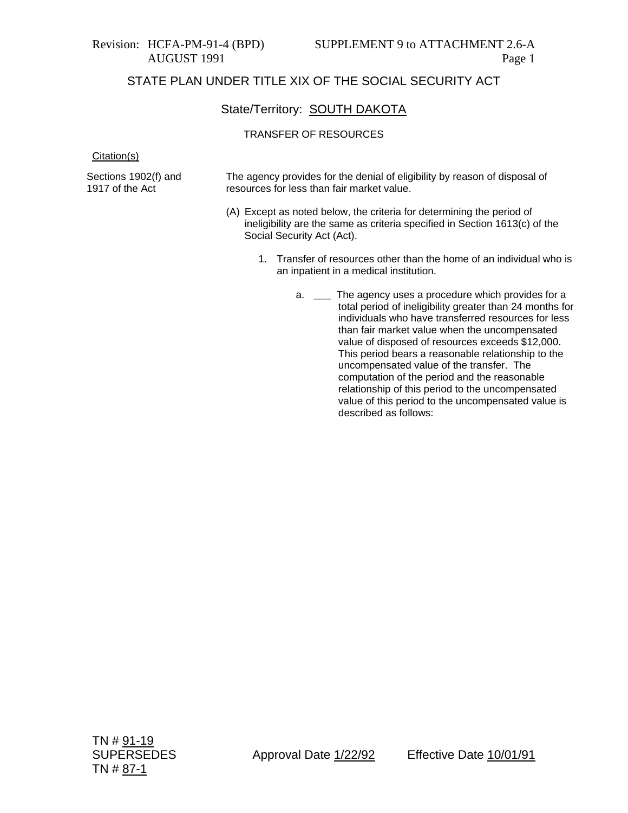### State/Territory: **SOUTH DAKOTA**

#### TRANSFER OF RESOURCES

Citation(s)

Sections 1902(f) and 1917 of the Act

The agency provides for the denial of eligibility by reason of disposal of resources for less than fair market value.

- (A) Except as noted below, the criteria for determining the period of ineligibility are the same as criteria specified in Section 1613(c) of the Social Security Act (Act).
	- 1. Transfer of resources other than the home of an individual who is an inpatient in a medical institution.
		- a. **\_\_\_** The agency uses a procedure which provides for a total period of ineligibility greater than 24 months for individuals who have transferred resources for less than fair market value when the uncompensated value of disposed of resources exceeds \$12,000. This period bears a reasonable relationship to the uncompensated value of the transfer. The computation of the period and the reasonable relationship of this period to the uncompensated value of this period to the uncompensated value is described as follows: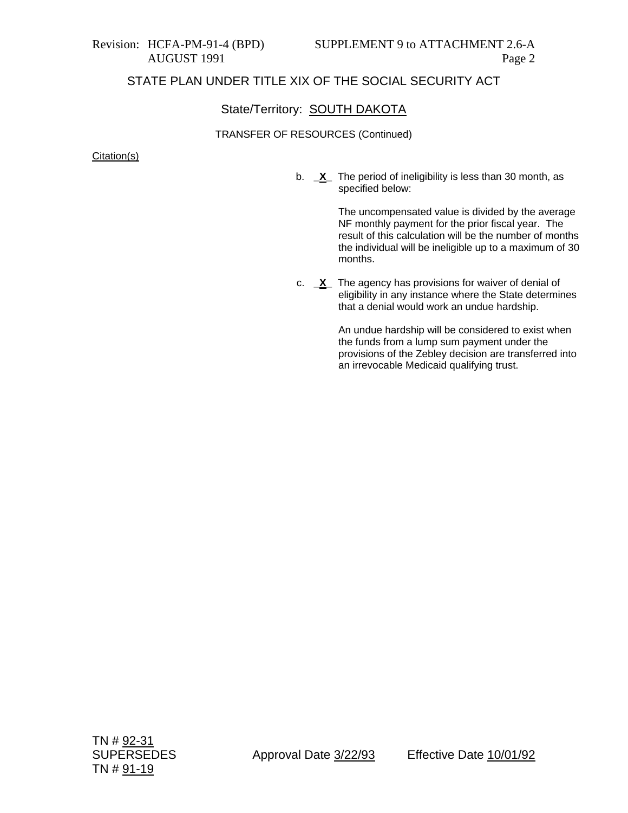### State/Territory: SOUTH DAKOTA

### TRANSFER OF RESOURCES (Continued)

#### Citation(s)

b. **\_X\_** The period of ineligibility is less than 30 month, as specified below:

> The uncompensated value is divided by the average NF monthly payment for the prior fiscal year. The result of this calculation will be the number of months the individual will be ineligible up to a maximum of 30 months.

c. **\_X\_** The agency has provisions for waiver of denial of eligibility in any instance where the State determines that a denial would work an undue hardship.

> An undue hardship will be considered to exist when the funds from a lump sum payment under the provisions of the Zebley decision are transferred into an irrevocable Medicaid qualifying trust.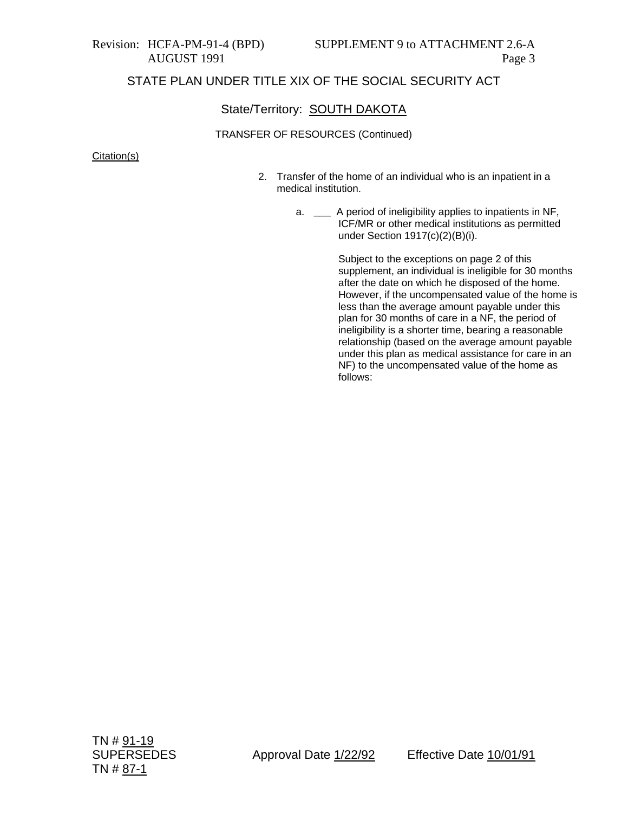## State/Territory: SOUTH DAKOTA

### TRANSFER OF RESOURCES (Continued)

Citation(s)

- 2. Transfer of the home of an individual who is an inpatient in a medical institution.
	- a. **\_\_\_** A period of ineligibility applies to inpatients in NF, ICF/MR or other medical institutions as permitted under Section 1917(c)(2)(B)(i).

Subject to the exceptions on page 2 of this supplement, an individual is ineligible for 30 months after the date on which he disposed of the home. However, if the uncompensated value of the home is less than the average amount payable under this plan for 30 months of care in a NF, the period of ineligibility is a shorter time, bearing a reasonable relationship (based on the average amount payable under this plan as medical assistance for care in an NF) to the uncompensated value of the home as follows: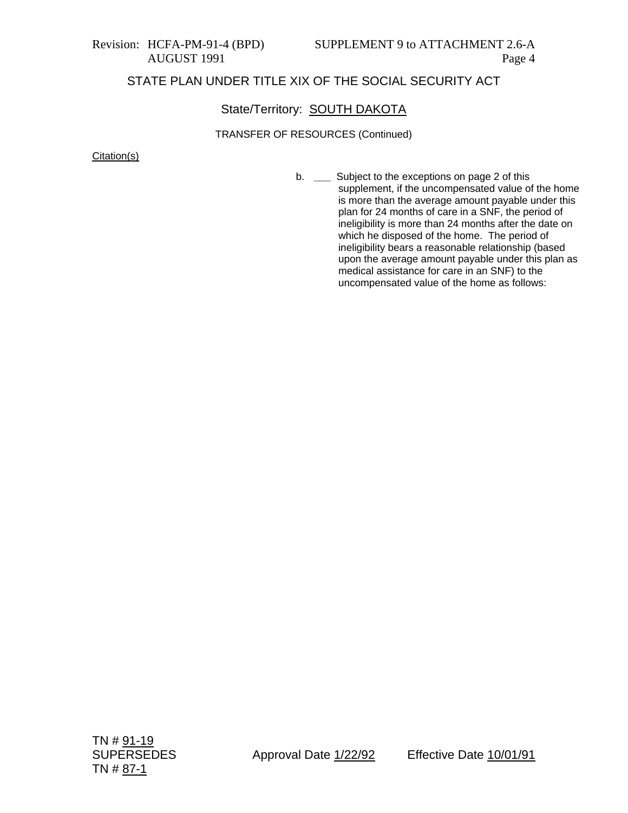## State/Territory: SOUTH DAKOTA

### TRANSFER OF RESOURCES (Continued)

Citation(s)

b. **\_\_\_** Subject to the exceptions on page 2 of this supplement, if the uncompensated value of the home is more than the average amount payable under this plan for 24 months of care in a SNF, the period of ineligibility is more than 24 months after the date on which he disposed of the home. The period of ineligibility bears a reasonable relationship (based upon the average amount payable under this plan as medical assistance for care in an SNF) to the uncompensated value of the home as follows: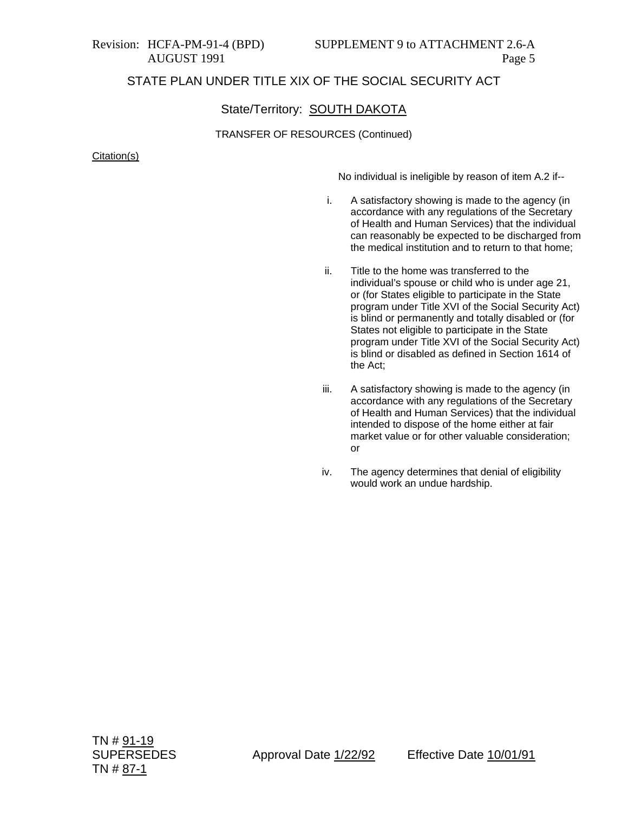### State/Territory: SOUTH DAKOTA

#### TRANSFER OF RESOURCES (Continued)

Citation(s)

No individual is ineligible by reason of item A.2 if--

- i. A satisfactory showing is made to the agency (in accordance with any regulations of the Secretary of Health and Human Services) that the individual can reasonably be expected to be discharged from the medical institution and to return to that home;
- ii. Title to the home was transferred to the individual's spouse or child who is under age 21, or (for States eligible to participate in the State program under Title XVI of the Social Security Act) is blind or permanently and totally disabled or (for States not eligible to participate in the State program under Title XVI of the Social Security Act) is blind or disabled as defined in Section 1614 of the Act;
- iii. A satisfactory showing is made to the agency (in accordance with any regulations of the Secretary of Health and Human Services) that the individual intended to dispose of the home either at fair market value or for other valuable consideration; or
- iv. The agency determines that denial of eligibility would work an undue hardship.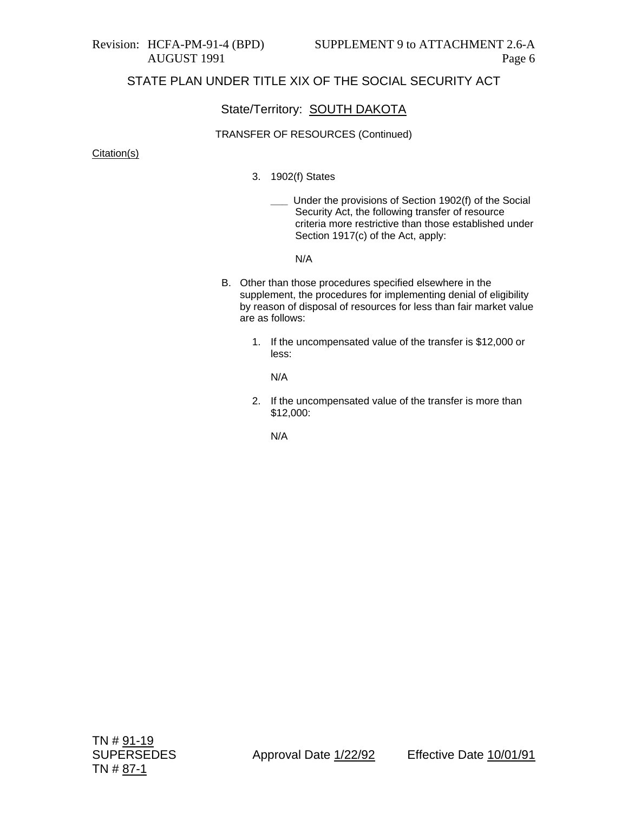### State/Territory: SOUTH DAKOTA

#### TRANSFER OF RESOURCES (Continued)

#### Citation(s)

- 3. 1902(f) States
	- **\_\_\_** Under the provisions of Section 1902(f) of the Social Security Act, the following transfer of resource criteria more restrictive than those established under Section 1917(c) of the Act, apply:

N/A

- B. Other than those procedures specified elsewhere in the supplement, the procedures for implementing denial of eligibility by reason of disposal of resources for less than fair market value are as follows:
	- 1. If the uncompensated value of the transfer is \$12,000 or less:

N/A

2. If the uncompensated value of the transfer is more than \$12,000:

N/A